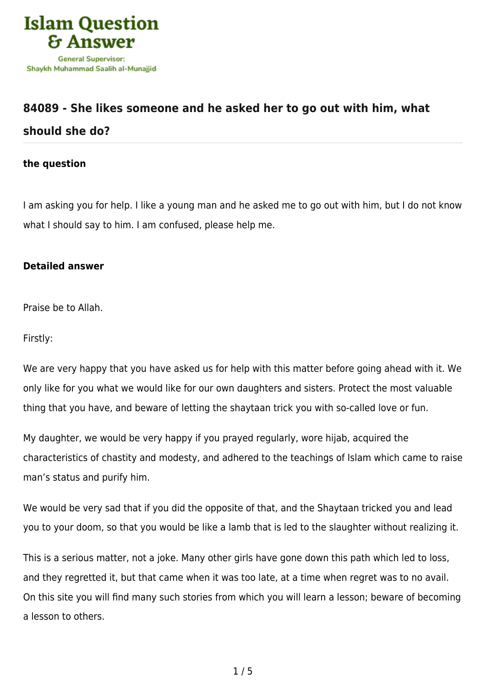

## **[84089 - She likes someone and he asked her to go out with him, what](https://islamqa.com/en/answers/84089/she-likes-someone-and-he-asked-her-to-go-out-with-him-what-should-she-do) [should she do?](https://islamqa.com/en/answers/84089/she-likes-someone-and-he-asked-her-to-go-out-with-him-what-should-she-do)**

## **the question**

I am asking you for help. I like a young man and he asked me to go out with him, but I do not know what I should say to him. I am confused, please help me.

## **Detailed answer**

Praise be to Allah.

Firstly:

We are very happy that you have asked us for help with this matter before going ahead with it. We only like for you what we would like for our own daughters and sisters. Protect the most valuable thing that you have, and beware of letting the shaytaan trick you with so-called love or fun.

My daughter, we would be very happy if you prayed regularly, wore hijab, acquired the characteristics of chastity and modesty, and adhered to the teachings of Islam which came to raise man's status and purify him.

We would be very sad that if you did the opposite of that, and the Shaytaan tricked you and lead you to your doom, so that you would be like a lamb that is led to the slaughter without realizing it.

This is a serious matter, not a joke. Many other girls have gone down this path which led to loss, and they regretted it, but that came when it was too late, at a time when regret was to no avail. On this site you will find many such stories from which you will learn a lesson; beware of becoming a lesson to others.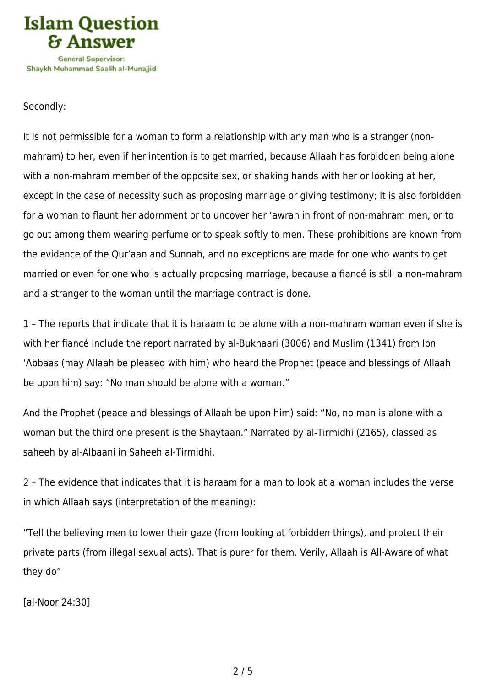

## Secondly:

It is not permissible for a woman to form a relationship with any man who is a stranger (nonmahram) to her, even if her intention is to get married, because Allaah has forbidden being alone with a non-mahram member of the opposite sex, or shaking hands with her or looking at her, except in the case of necessity such as proposing marriage or giving testimony; it is also forbidden for a woman to flaunt her adornment or to uncover her 'awrah in front of non-mahram men, or to go out among them wearing perfume or to speak softly to men. These prohibitions are known from the evidence of the Qur'aan and Sunnah, and no exceptions are made for one who wants to get married or even for one who is actually proposing marriage, because a fiancé is still a non-mahram and a stranger to the woman until the marriage contract is done.

1 – The reports that indicate that it is haraam to be alone with a non-mahram woman even if she is with her fiancé include the report narrated by al-Bukhaari (3006) and Muslim (1341) from Ibn 'Abbaas (may Allaah be pleased with him) who heard the Prophet (peace and blessings of Allaah be upon him) say: "No man should be alone with a woman."

And the Prophet (peace and blessings of Allaah be upon him) said: "No, no man is alone with a woman but the third one present is the Shaytaan." Narrated by al-Tirmidhi (2165), classed as saheeh by al-Albaani in Saheeh al-Tirmidhi.

2 – The evidence that indicates that it is haraam for a man to look at a woman includes the verse in which Allaah says (interpretation of the meaning):

"Tell the believing men to lower their gaze (from looking at forbidden things), and protect their private parts (from illegal sexual acts). That is purer for them. Verily, Allaah is All-Aware of what they do"

[al-Noor 24:30]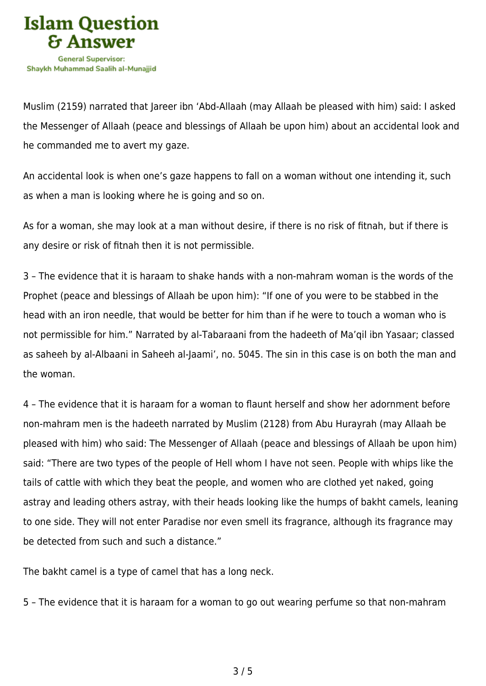

Muslim (2159) narrated that Jareer ibn 'Abd-Allaah (may Allaah be pleased with him) said: I asked the Messenger of Allaah (peace and blessings of Allaah be upon him) about an accidental look and he commanded me to avert my gaze.

An accidental look is when one's gaze happens to fall on a woman without one intending it, such as when a man is looking where he is going and so on.

As for a woman, she may look at a man without desire, if there is no risk of fitnah, but if there is any desire or risk of fitnah then it is not permissible.

3 – The evidence that it is haraam to shake hands with a non-mahram woman is the words of the Prophet (peace and blessings of Allaah be upon him): "If one of you were to be stabbed in the head with an iron needle, that would be better for him than if he were to touch a woman who is not permissible for him." Narrated by al-Tabaraani from the hadeeth of Ma'qil ibn Yasaar; classed as saheeh by al-Albaani in Saheeh al-Jaami', no. 5045. The sin in this case is on both the man and the woman.

4 – The evidence that it is haraam for a woman to flaunt herself and show her adornment before non-mahram men is the hadeeth narrated by Muslim (2128) from Abu Hurayrah (may Allaah be pleased with him) who said: The Messenger of Allaah (peace and blessings of Allaah be upon him) said: "There are two types of the people of Hell whom I have not seen. People with whips like the tails of cattle with which they beat the people, and women who are clothed yet naked, going astray and leading others astray, with their heads looking like the humps of bakht camels, leaning to one side. They will not enter Paradise nor even smell its fragrance, although its fragrance may be detected from such and such a distance."

The bakht camel is a type of camel that has a long neck.

5 – The evidence that it is haraam for a woman to go out wearing perfume so that non-mahram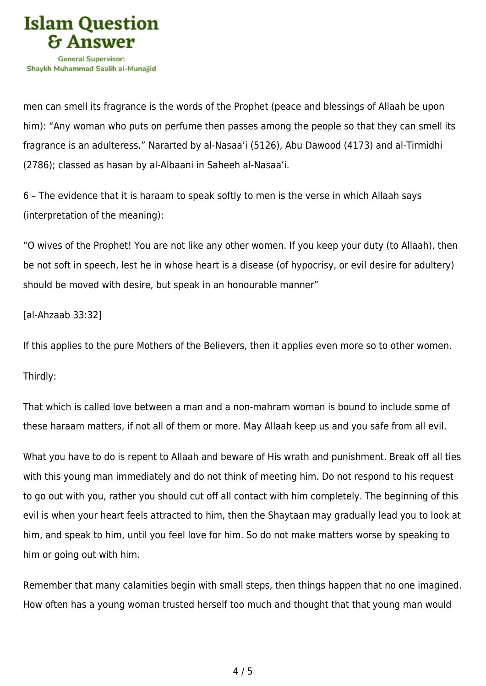

men can smell its fragrance is the words of the Prophet (peace and blessings of Allaah be upon him): "Any woman who puts on perfume then passes among the people so that they can smell its fragrance is an adulteress." Nararted by al-Nasaa'i (5126), Abu Dawood (4173) and al-Tirmidhi (2786); classed as hasan by al-Albaani in Saheeh al-Nasaa'i.

6 – The evidence that it is haraam to speak softly to men is the verse in which Allaah says (interpretation of the meaning):

"O wives of the Prophet! You are not like any other women. If you keep your duty (to Allaah), then be not soft in speech, lest he in whose heart is a disease (of hypocrisy, or evil desire for adultery) should be moved with desire, but speak in an honourable manner"

[al-Ahzaab 33:32]

If this applies to the pure Mothers of the Believers, then it applies even more so to other women.

Thirdly:

That which is called love between a man and a non-mahram woman is bound to include some of these haraam matters, if not all of them or more. May Allaah keep us and you safe from all evil.

What you have to do is repent to Allaah and beware of His wrath and punishment. Break off all ties with this young man immediately and do not think of meeting him. Do not respond to his request to go out with you, rather you should cut off all contact with him completely. The beginning of this evil is when your heart feels attracted to him, then the Shaytaan may gradually lead you to look at him, and speak to him, until you feel love for him. So do not make matters worse by speaking to him or going out with him.

Remember that many calamities begin with small steps, then things happen that no one imagined. How often has a young woman trusted herself too much and thought that that young man would